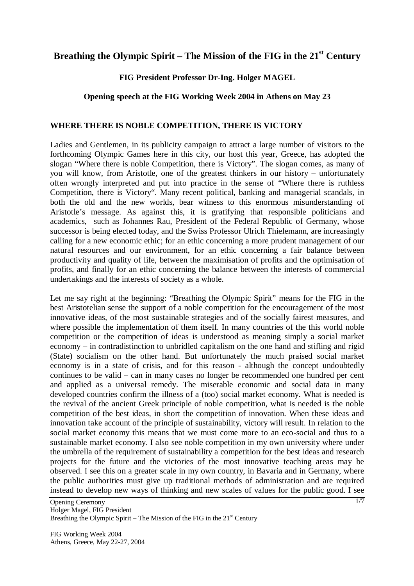# Breathing the Olympic Spirit – The Mission of the FIG in the 21<sup>st</sup> Century

## **FIG President Professor Dr-Ing. Holger MAGEL**

## **Opening speech at the FIG Working Week 2004 in Athens on May 23**

#### **WHERE THERE IS NOBLE COMPETITION, THERE IS VICTORY**

Ladies and Gentlemen, in its publicity campaign to attract a large number of visitors to the forthcoming Olympic Games here in this city, our host this year, Greece, has adopted the slogan "Where there is noble Competition, there is Victory". The slogan comes, as many of you will know, from Aristotle, one of the greatest thinkers in our history – unfortunately often wrongly interpreted and put into practice in the sense of "Where there is ruthless Competition, there is Victory". Many recent political, banking and managerial scandals, in both the old and the new worlds, bear witness to this enormous misunderstanding of Aristotle's message. As against this, it is gratifying that responsible politicians and academics, such as Johannes Rau, President of the Federal Republic of Germany, whose successor is being elected today, and the Swiss Professor Ulrich Thielemann, are increasingly calling for a new economic ethic; for an ethic concerning a more prudent management of our natural resources and our environment, for an ethic concerning a fair balance between productivity and quality of life, between the maximisation of profits and the optimisation of profits, and finally for an ethic concerning the balance between the interests of commercial undertakings and the interests of society as a whole.

Let me say right at the beginning: "Breathing the Olympic Spirit" means for the FIG in the best Aristotelian sense the support of a noble competition for the encouragement of the most innovative ideas, of the most sustainable strategies and of the socially fairest measures, and where possible the implementation of them itself. In many countries of the this world noble competition or the competition of ideas is understood as meaning simply a social market economy – in contradistinction to unbridled capitalism on the one hand and stifling and rigid (State) socialism on the other hand. But unfortunately the much praised social market economy is in a state of crisis, and for this reason - although the concept undoubtedly continues to be valid – can in many cases no longer be recommended one hundred per cent and applied as a universal remedy. The miserable economic and social data in many developed countries confirm the illness of a (too) social market economy. What is needed is the revival of the ancient Greek principle of noble competition, what is needed is the noble competition of the best ideas, in short the competition of innovation. When these ideas and innovation take account of the principle of sustainability, victory will result. In relation to the social market economy this means that we must come more to an eco-social and thus to a sustainable market economy. I also see noble competition in my own university where under the umbrella of the requirement of sustainability a competition for the best ideas and research projects for the future and the victories of the most innovative teaching areas may be observed. I see this on a greater scale in my own country, in Bavaria and in Germany, where the public authorities must give up traditional methods of administration and are required instead to develop new ways of thinking and new scales of values for the public good. I see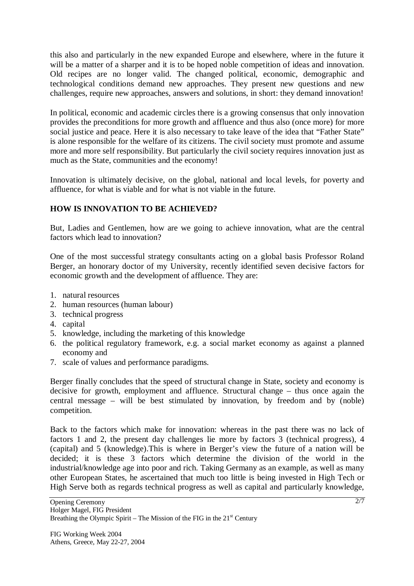this also and particularly in the new expanded Europe and elsewhere, where in the future it will be a matter of a sharper and it is to be hoped noble competition of ideas and innovation. Old recipes are no longer valid. The changed political, economic, demographic and technological conditions demand new approaches. They present new questions and new challenges, require new approaches, answers and solutions, in short: they demand innovation!

In political, economic and academic circles there is a growing consensus that only innovation provides the preconditions for more growth and affluence and thus also (once more) for more social justice and peace. Here it is also necessary to take leave of the idea that "Father State" is alone responsible for the welfare of its citizens. The civil society must promote and assume more and more self responsibility. But particularly the civil society requires innovation just as much as the State, communities and the economy!

Innovation is ultimately decisive, on the global, national and local levels, for poverty and affluence, for what is viable and for what is not viable in the future.

## **HOW IS INNOVATION TO BE ACHIEVED?**

But, Ladies and Gentlemen, how are we going to achieve innovation, what are the central factors which lead to innovation?

One of the most successful strategy consultants acting on a global basis Professor Roland Berger, an honorary doctor of my University, recently identified seven decisive factors for economic growth and the development of affluence. They are:

- 1. natural resources
- 2. human resources (human labour)
- 3. technical progress
- 4. capital
- 5. knowledge, including the marketing of this knowledge
- 6. the political regulatory framework, e.g. a social market economy as against a planned economy and
- 7. scale of values and performance paradigms.

Berger finally concludes that the speed of structural change in State, society and economy is decisive for growth, employment and affluence. Structural change – thus once again the central message – will be best stimulated by innovation, by freedom and by (noble) competition.

Back to the factors which make for innovation: whereas in the past there was no lack of factors 1 and 2, the present day challenges lie more by factors 3 (technical progress), 4 (capital) and 5 (knowledge).This is where in Berger's view the future of a nation will be decided; it is these 3 factors which determine the division of the world in the industrial/knowledge age into poor and rich. Taking Germany as an example, as well as many other European States, he ascertained that much too little is being invested in High Tech or High Serve both as regards technical progress as well as capital and particularly knowledge,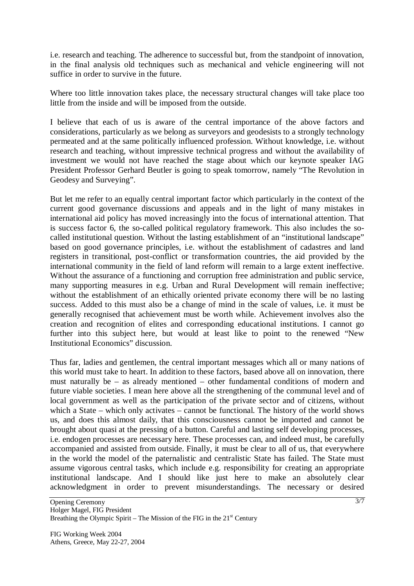i.e. research and teaching. The adherence to successful but, from the standpoint of innovation, in the final analysis old techniques such as mechanical and vehicle engineering will not suffice in order to survive in the future.

Where too little innovation takes place, the necessary structural changes will take place too little from the inside and will be imposed from the outside.

I believe that each of us is aware of the central importance of the above factors and considerations, particularly as we belong as surveyors and geodesists to a strongly technology permeated and at the same politically influenced profession. Without knowledge, i.e. without research and teaching, without impressive technical progress and without the availability of investment we would not have reached the stage about which our keynote speaker IAG President Professor Gerhard Beutler is going to speak tomorrow, namely "The Revolution in Geodesy and Surveying".

But let me refer to an equally central important factor which particularly in the context of the current good governance discussions and appeals and in the light of many mistakes in international aid policy has moved increasingly into the focus of international attention. That is success factor 6, the so-called political regulatory framework. This also includes the socalled institutional question. Without the lasting establishment of an "institutional landscape" based on good governance principles, i.e. without the establishment of cadastres and land registers in transitional, post-conflict or transformation countries, the aid provided by the international community in the field of land reform will remain to a large extent ineffective. Without the assurance of a functioning and corruption free administration and public service, many supporting measures in e.g. Urban and Rural Development will remain ineffective; without the establishment of an ethically oriented private economy there will be no lasting success. Added to this must also be a change of mind in the scale of values, i.e. it must be generally recognised that achievement must be worth while. Achievement involves also the creation and recognition of elites and corresponding educational institutions. I cannot go further into this subject here, but would at least like to point to the renewed "New Institutional Economics" discussion.

Thus far, ladies and gentlemen, the central important messages which all or many nations of this world must take to heart. In addition to these factors, based above all on innovation, there must naturally be – as already mentioned – other fundamental conditions of modern and future viable societies. I mean here above all the strengthening of the communal level and of local government as well as the participation of the private sector and of citizens, without which a State – which only activates – cannot be functional. The history of the world shows us, and does this almost daily, that this consciousness cannot be imported and cannot be brought about quasi at the pressing of a button. Careful and lasting self developing processes, i.e. endogen processes are necessary here. These processes can, and indeed must, be carefully accompanied and assisted from outside. Finally, it must be clear to all of us, that everywhere in the world the model of the paternalistic and centralistic State has failed. The State must assume vigorous central tasks, which include e.g. responsibility for creating an appropriate institutional landscape. And I should like just here to make an absolutely clear acknowledgment in order to prevent misunderstandings. The necessary or desired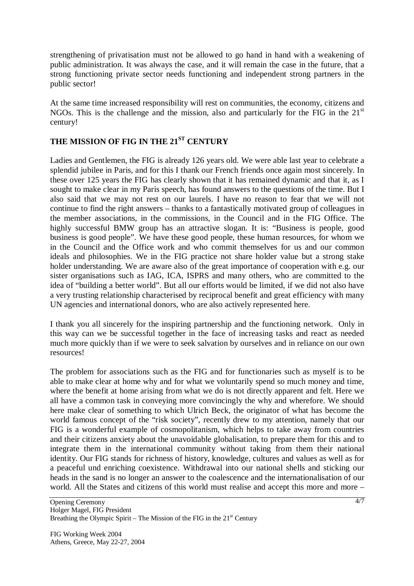strengthening of privatisation must not be allowed to go hand in hand with a weakening of public administration. It was always the case, and it will remain the case in the future, that a strong functioning private sector needs functioning and independent strong partners in the public sector!

At the same time increased responsibility will rest on communities, the economy, citizens and NGOs. This is the challenge and the mission, also and particularly for the FIG in the  $21<sup>st</sup>$ century!

## **THE MISSION OF FIG IN THE 21ST CENTURY**

Ladies and Gentlemen, the FIG is already 126 years old. We were able last year to celebrate a splendid jubilee in Paris, and for this I thank our French friends once again most sincerely. In these over 125 years the FIG has clearly shown that it has remained dynamic and that it, as I sought to make clear in my Paris speech, has found answers to the questions of the time. But I also said that we may not rest on our laurels. I have no reason to fear that we will not continue to find the right answers – thanks to a fantastically motivated group of colleagues in the member associations, in the commissions, in the Council and in the FIG Office. The highly successful BMW group has an attractive slogan. It is: "Business is people, good business is good people". We have these good people, these human resources, for whom we in the Council and the Office work and who commit themselves for us and our common ideals and philosophies. We in the FIG practice not share holder value but a strong stake holder understanding. We are aware also of the great importance of cooperation with e.g. our sister organisations such as IAG, ICA, ISPRS and many others, who are committed to the idea of "building a better world". But all our efforts would be limited, if we did not also have a very trusting relationship characterised by reciprocal benefit and great efficiency with many UN agencies and international donors, who are also actively represented here.

I thank you all sincerely for the inspiring partnership and the functioning network. Only in this way can we be successful together in the face of increasing tasks and react as needed much more quickly than if we were to seek salvation by ourselves and in reliance on our own resources!

The problem for associations such as the FIG and for functionaries such as myself is to be able to make clear at home why and for what we voluntarily spend so much money and time, where the benefit at home arising from what we do is not directly apparent and felt. Here we all have a common task in conveying more convincingly the why and wherefore. We should here make clear of something to which Ulrich Beck, the originator of what has become the world famous concept of the "risk society", recently drew to my attention, namely that our FIG is a wonderful example of cosmopolitanism, which helps to take away from countries and their citizens anxiety about the unavoidable globalisation, to prepare them for this and to integrate them in the international community without taking from them their national identity. Our FIG stands for richness of history, knowledge, cultures and values as well as for a peaceful und enriching coexistence. Withdrawal into our national shells and sticking our heads in the sand is no longer an answer to the coalescence and the internationalisation of our world. All the States and citizens of this world must realise and accept this more and more –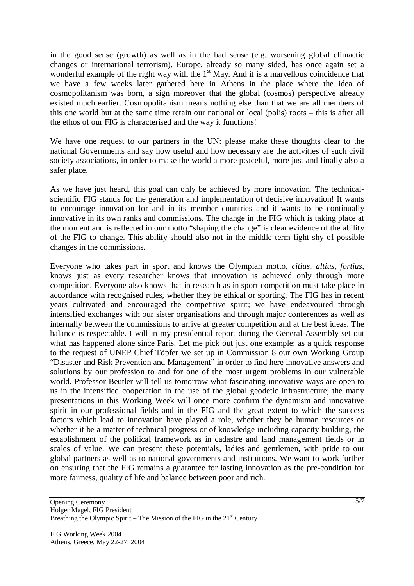in the good sense (growth) as well as in the bad sense (e.g. worsening global climactic changes or international terrorism). Europe, already so many sided, has once again set a wonderful example of the right way with the  $1<sup>st</sup>$  May. And it is a marvellous coincidence that we have a few weeks later gathered here in Athens in the place where the idea of cosmopolitanism was born, a sign moreover that the global (cosmos) perspective already existed much earlier. Cosmopolitanism means nothing else than that we are all members of this one world but at the same time retain our national or local (polis) roots – this is after all the ethos of our FIG is characterised and the way it functions!

We have one request to our partners in the UN: please make these thoughts clear to the national Governments and say how useful and how necessary are the activities of such civil society associations, in order to make the world a more peaceful, more just and finally also a safer place.

As we have just heard, this goal can only be achieved by more innovation. The technicalscientific FIG stands for the generation and implementation of decisive innovation! It wants to encourage innovation for and in its member countries and it wants to be continually innovative in its own ranks and commissions. The change in the FIG which is taking place at the moment and is reflected in our motto "shaping the change" is clear evidence of the ability of the FIG to change. This ability should also not in the middle term fight shy of possible changes in the commissions.

Everyone who takes part in sport and knows the Olympian motto, *citius*, *altius*, *fortius*, knows just as every researcher knows that innovation is achieved only through more competition. Everyone also knows that in research as in sport competition must take place in accordance with recognised rules, whether they be ethical or sporting. The FIG has in recent years cultivated and encouraged the competitive spirit; we have endeavoured through intensified exchanges with our sister organisations and through major conferences as well as internally between the commissions to arrive at greater competition and at the best ideas. The balance is respectable. I will in my presidential report during the General Assembly set out what has happened alone since Paris. Let me pick out just one example: as a quick response to the request of UNEP Chief Töpfer we set up in Commission 8 our own Working Group "Disaster and Risk Prevention and Management" in order to find here innovative answers and solutions by our profession to and for one of the most urgent problems in our vulnerable world. Professor Beutler will tell us tomorrow what fascinating innovative ways are open to us in the intensified cooperation in the use of the global geodetic infrastructure; the many presentations in this Working Week will once more confirm the dynamism and innovative spirit in our professional fields and in the FIG and the great extent to which the success factors which lead to innovation have played a role, whether they be human resources or whether it be a matter of technical progress or of knowledge including capacity building, the establishment of the political framework as in cadastre and land management fields or in scales of value. We can present these potentials, ladies and gentlemen, with pride to our global partners as well as to national governments and institutions. We want to work further on ensuring that the FIG remains a guarantee for lasting innovation as the pre-condition for more fairness, quality of life and balance between poor and rich.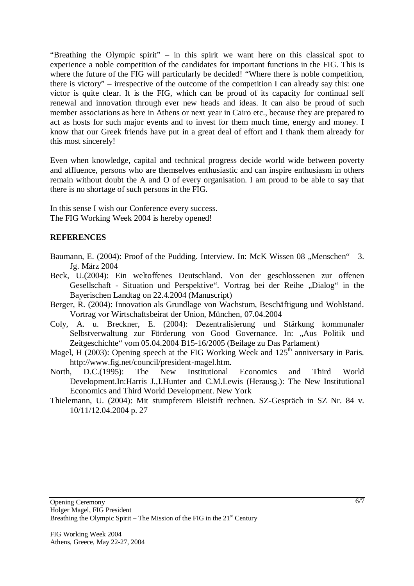"Breathing the Olympic spirit" – in this spirit we want here on this classical spot to experience a noble competition of the candidates for important functions in the FIG. This is where the future of the FIG will particularly be decided! "Where there is noble competition, there is victory" – irrespective of the outcome of the competition I can already say this: one victor is quite clear. It is the FIG, which can be proud of its capacity for continual self renewal and innovation through ever new heads and ideas. It can also be proud of such member associations as here in Athens or next year in Cairo etc., because they are prepared to act as hosts for such major events and to invest for them much time, energy and money. I know that our Greek friends have put in a great deal of effort and I thank them already for this most sincerely!

Even when knowledge, capital and technical progress decide world wide between poverty and affluence, persons who are themselves enthusiastic and can inspire enthusiasm in others remain without doubt the A and O of every organisation. I am proud to be able to say that there is no shortage of such persons in the FIG.

In this sense I wish our Conference every success. The FIG Working Week 2004 is hereby opened!

#### **REFERENCES**

- Baumann, E. (2004): Proof of the Pudding. Interview. In: McK Wissen 08 "Menschen" 3. Jg. März 2004
- Beck, U.(2004): Ein weltoffenes Deutschland. Von der geschlossenen zur offenen Gesellschaft - Situation und Perspektive". Vortrag bei der Reihe "Dialog" in the Bayerischen Landtag on 22.4.2004 (Manuscript)
- Berger, R. (2004): Innovation als Grundlage von Wachstum, Beschäftigung und Wohlstand. Vortrag vor Wirtschaftsbeirat der Union, München, 07.04.2004
- Coly, A. u. Breckner, E. (2004): Dezentralisierung und Stärkung kommunaler Selbstverwaltung zur Förderung von Good Governance. In: "Aus Politik und Zeitgeschichte" vom 05.04.2004 B15-16/2005 (Beilage zu Das Parlament)
- Magel, H (2003): Opening speech at the FIG Working Week and  $125<sup>th</sup>$  anniversary in Paris. http://www.fig.net/council/president-magel.htm.
- North, D.C.(1995): The New Institutional Economics and Third World Development.In:Harris J.,I.Hunter and C.M.Lewis (Herausg.): The New Institutional Economics and Third World Development. New York
- Thielemann, U. (2004): Mit stumpferem Bleistift rechnen. SZ-Gespräch in SZ Nr. 84 v. 10/11/12.04.2004 p. 27